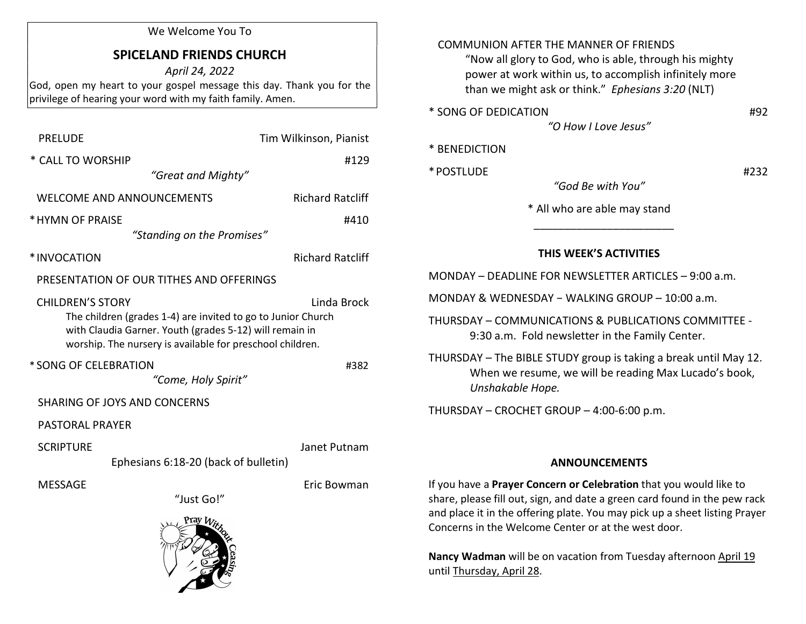#### We Welcome You To

# SPICELAND FRIENDS CHURCH

April 24, 2022 God, open my heart to your gospel message this day. Thank you for the privilege of hearing your word with my faith family. Amen.

| <b>PRELUDE</b>                                                                                                                                                                                                                 | Tim Wilkinson, Pianist  |
|--------------------------------------------------------------------------------------------------------------------------------------------------------------------------------------------------------------------------------|-------------------------|
| * CALL TO WORSHIP                                                                                                                                                                                                              | #129                    |
| "Great and Mighty"                                                                                                                                                                                                             |                         |
| WELCOME AND ANNOUNCEMENTS                                                                                                                                                                                                      | <b>Richard Ratcliff</b> |
| * HYMN OF PRAISE                                                                                                                                                                                                               | #410                    |
| "Standing on the Promises"                                                                                                                                                                                                     |                         |
| *INVOCATION                                                                                                                                                                                                                    | <b>Richard Ratcliff</b> |
| PRESENTATION OF OUR TITHES AND OFFERINGS                                                                                                                                                                                       |                         |
| <b>CHILDREN'S STORY</b><br>Linda Brock<br>The children (grades 1-4) are invited to go to Junior Church<br>with Claudia Garner. Youth (grades 5-12) will remain in<br>worship. The nursery is available for preschool children. |                         |
| * SONG OF CELEBRATION<br>"Come, Holy Spirit"                                                                                                                                                                                   | #382                    |
| <b>SHARING OF JOYS AND CONCERNS</b>                                                                                                                                                                                            |                         |
| <b>PASTORAL PRAYER</b>                                                                                                                                                                                                         |                         |
| <b>SCRIPTURE</b><br>Ephesians 6:18-20 (back of bulletin)                                                                                                                                                                       | Janet Putnam            |
| <b>MESSAGE</b><br>"Just Go!"                                                                                                                                                                                                   | Eric Bowman             |
| Pray With                                                                                                                                                                                                                      |                         |

### COMMUNION AFTER THE MANNER OF FRIENDS

 "Now all glory to God, who is able, through his mighty power at work within us, to accomplish infinitely more than we might ask or think." Ephesians 3:20 (NLT)

\* SONG OF DEDICATION #92

"O How I Love Jesus"

#### \* BENEDICTION

\* POSTLUDE #232

"God Be with You"

\* All who are able may stand

## THIS WEEK'S ACTIVITIES

MONDAY – DEADLINE FOR NEWSLETTER ARTICLES – 9:00 a.m.

MONDAY & WEDNESDAY − WALKING GROUP – 10:00 a.m.

 $\frac{1}{2}$  ,  $\frac{1}{2}$  ,  $\frac{1}{2}$  ,  $\frac{1}{2}$  ,  $\frac{1}{2}$  ,  $\frac{1}{2}$  ,  $\frac{1}{2}$  ,  $\frac{1}{2}$  ,  $\frac{1}{2}$  ,  $\frac{1}{2}$  ,  $\frac{1}{2}$  ,  $\frac{1}{2}$  ,  $\frac{1}{2}$  ,  $\frac{1}{2}$  ,  $\frac{1}{2}$  ,  $\frac{1}{2}$  ,  $\frac{1}{2}$  ,  $\frac{1}{2}$  ,  $\frac{1$ 

THURSDAY – COMMUNICATIONS & PUBLICATIONS COMMITTEE - 9:30 a.m. Fold newsletter in the Family Center.

THURSDAY – The BIBLE STUDY group is taking a break until May 12. When we resume, we will be reading Max Lucado's book, Unshakable Hope.

THURSDAY – CROCHET GROUP – 4:00-6:00 p.m.

#### ANNOUNCEMENTS

If you have a Prayer Concern or Celebration that you would like to share, please fill out, sign, and date a green card found in the pew rack and place it in the offering plate. You may pick up a sheet listing Prayer Concerns in the Welcome Center or at the west door.

Nancy Wadman will be on vacation from Tuesday afternoon April 19 until Thursday, April 28.